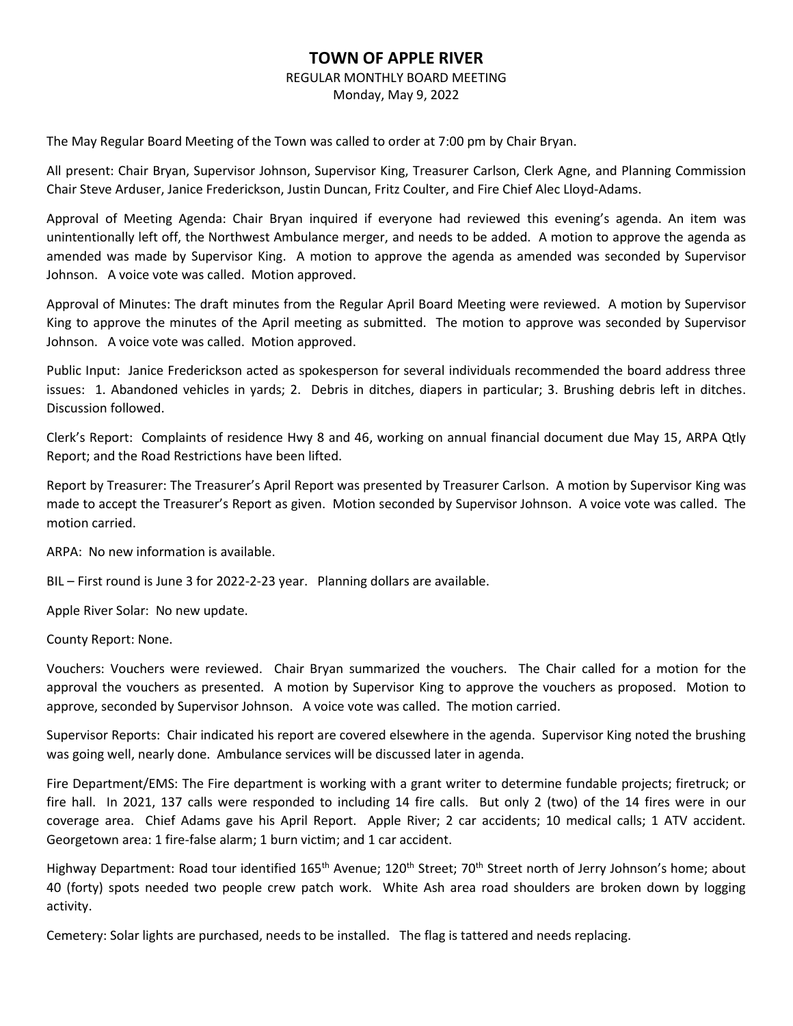## **TOWN OF APPLE RIVER**

## REGULAR MONTHLY BOARD MEETING

Monday, May 9, 2022

The May Regular Board Meeting of the Town was called to order at 7:00 pm by Chair Bryan.

All present: Chair Bryan, Supervisor Johnson, Supervisor King, Treasurer Carlson, Clerk Agne, and Planning Commission Chair Steve Arduser, Janice Frederickson, Justin Duncan, Fritz Coulter, and Fire Chief Alec Lloyd-Adams.

Approval of Meeting Agenda: Chair Bryan inquired if everyone had reviewed this evening's agenda. An item was unintentionally left off, the Northwest Ambulance merger, and needs to be added. A motion to approve the agenda as amended was made by Supervisor King. A motion to approve the agenda as amended was seconded by Supervisor Johnson. A voice vote was called. Motion approved.

Approval of Minutes: The draft minutes from the Regular April Board Meeting were reviewed. A motion by Supervisor King to approve the minutes of the April meeting as submitted. The motion to approve was seconded by Supervisor Johnson. A voice vote was called. Motion approved.

Public Input: Janice Frederickson acted as spokesperson for several individuals recommended the board address three issues: 1. Abandoned vehicles in yards; 2. Debris in ditches, diapers in particular; 3. Brushing debris left in ditches. Discussion followed.

Clerk's Report: Complaints of residence Hwy 8 and 46, working on annual financial document due May 15, ARPA Qtly Report; and the Road Restrictions have been lifted.

Report by Treasurer: The Treasurer's April Report was presented by Treasurer Carlson. A motion by Supervisor King was made to accept the Treasurer's Report as given. Motion seconded by Supervisor Johnson. A voice vote was called. The motion carried.

ARPA: No new information is available.

BIL – First round is June 3 for 2022-2-23 year. Planning dollars are available.

Apple River Solar: No new update.

County Report: None.

Vouchers: Vouchers were reviewed. Chair Bryan summarized the vouchers. The Chair called for a motion for the approval the vouchers as presented. A motion by Supervisor King to approve the vouchers as proposed. Motion to approve, seconded by Supervisor Johnson. A voice vote was called. The motion carried.

Supervisor Reports: Chair indicated his report are covered elsewhere in the agenda. Supervisor King noted the brushing was going well, nearly done. Ambulance services will be discussed later in agenda.

Fire Department/EMS: The Fire department is working with a grant writer to determine fundable projects; firetruck; or fire hall. In 2021, 137 calls were responded to including 14 fire calls. But only 2 (two) of the 14 fires were in our coverage area. Chief Adams gave his April Report. Apple River; 2 car accidents; 10 medical calls; 1 ATV accident. Georgetown area: 1 fire-false alarm; 1 burn victim; and 1 car accident.

Highway Department: Road tour identified 165<sup>th</sup> Avenue; 120<sup>th</sup> Street; 70<sup>th</sup> Street north of Jerry Johnson's home; about 40 (forty) spots needed two people crew patch work. White Ash area road shoulders are broken down by logging activity.

Cemetery: Solar lights are purchased, needs to be installed. The flag is tattered and needs replacing.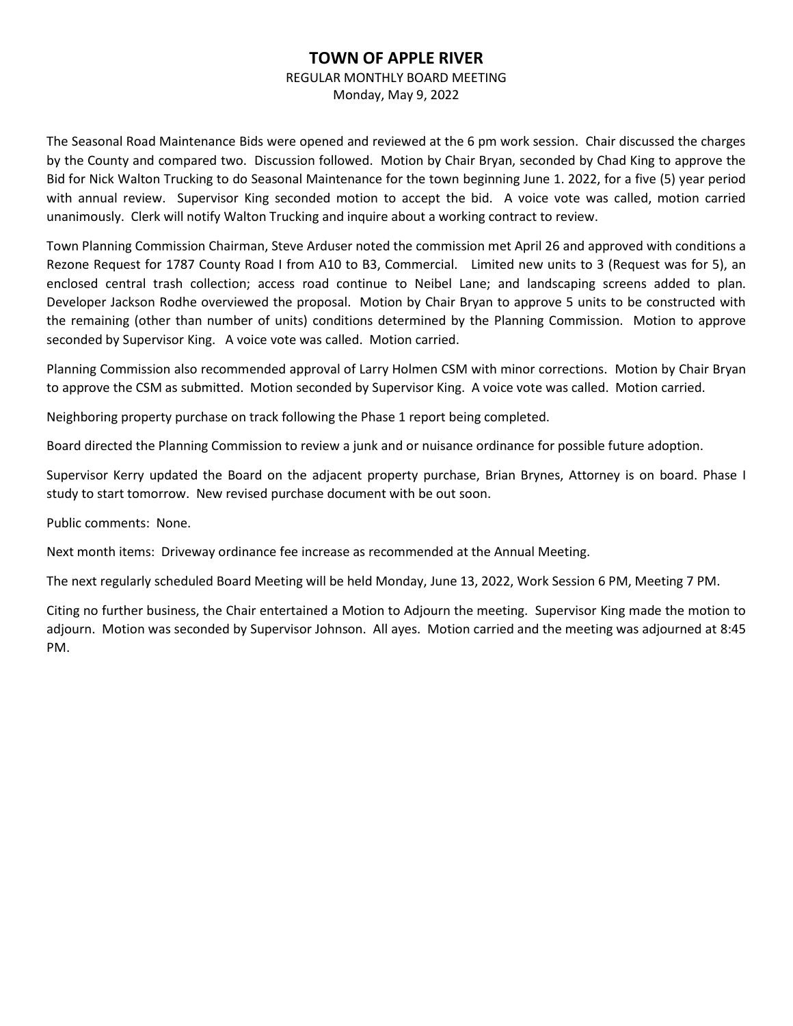## **TOWN OF APPLE RIVER**

REGULAR MONTHLY BOARD MEETING

Monday, May 9, 2022

The Seasonal Road Maintenance Bids were opened and reviewed at the 6 pm work session. Chair discussed the charges by the County and compared two. Discussion followed. Motion by Chair Bryan, seconded by Chad King to approve the Bid for Nick Walton Trucking to do Seasonal Maintenance for the town beginning June 1. 2022, for a five (5) year period with annual review. Supervisor King seconded motion to accept the bid. A voice vote was called, motion carried unanimously. Clerk will notify Walton Trucking and inquire about a working contract to review.

Town Planning Commission Chairman, Steve Arduser noted the commission met April 26 and approved with conditions a Rezone Request for 1787 County Road I from A10 to B3, Commercial. Limited new units to 3 (Request was for 5), an enclosed central trash collection; access road continue to Neibel Lane; and landscaping screens added to plan. Developer Jackson Rodhe overviewed the proposal. Motion by Chair Bryan to approve 5 units to be constructed with the remaining (other than number of units) conditions determined by the Planning Commission. Motion to approve seconded by Supervisor King. A voice vote was called. Motion carried.

Planning Commission also recommended approval of Larry Holmen CSM with minor corrections. Motion by Chair Bryan to approve the CSM as submitted. Motion seconded by Supervisor King. A voice vote was called. Motion carried.

Neighboring property purchase on track following the Phase 1 report being completed.

Board directed the Planning Commission to review a junk and or nuisance ordinance for possible future adoption.

Supervisor Kerry updated the Board on the adjacent property purchase, Brian Brynes, Attorney is on board. Phase I study to start tomorrow. New revised purchase document with be out soon.

Public comments: None.

Next month items: Driveway ordinance fee increase as recommended at the Annual Meeting.

The next regularly scheduled Board Meeting will be held Monday, June 13, 2022, Work Session 6 PM, Meeting 7 PM.

Citing no further business, the Chair entertained a Motion to Adjourn the meeting. Supervisor King made the motion to adjourn. Motion was seconded by Supervisor Johnson. All ayes. Motion carried and the meeting was adjourned at 8:45 PM.